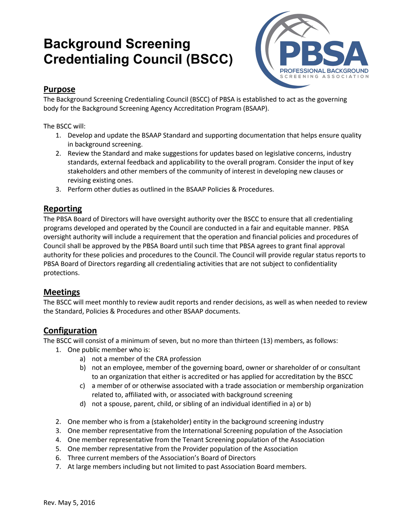# **Background Screening Credentialing Council (BSCC)**



### **Purpose**

The Background Screening Credentialing Council (BSCC) of PBSA is established to act as the governing body for the Background Screening Agency Accreditation Program (BSAAP).

The BSCC will:

- 1. Develop and update the BSAAP Standard and supporting documentation that helps ensure quality in background screening.
- 2. Review the Standard and make suggestions for updates based on legislative concerns, industry standards, external feedback and applicability to the overall program. Consider the input of key stakeholders and other members of the community of interest in developing new clauses or revising existing ones.
- 3. Perform other duties as outlined in the BSAAP Policies & Procedures.

#### **Reporting**

The PBSA Board of Directors will have oversight authority over the BSCC to ensure that all credentialing programs developed and operated by the Council are conducted in a fair and equitable manner. PBSA oversight authority will include a requirement that the operation and financial policies and procedures of Council shall be approved by the PBSA Board until such time that PBSA agrees to grant final approval authority for these policies and procedures to the Council. The Council will provide regular status reports to PBSA Board of Directors regarding all credentialing activities that are not subject to confidentiality protections.

#### **Meetings**

The BSCC will meet monthly to review audit reports and render decisions, as well as when needed to review the Standard, Policies & Procedures and other BSAAP documents.

## **Configuration**

The BSCC will consist of a minimum of seven, but no more than thirteen (13) members, as follows:

- 1. One public member who is:
	- a) not a member of the CRA profession
	- b) not an employee, member of the governing board, owner or shareholder of or consultant to an organization that either is accredited or has applied for accreditation by the BSCC
	- c) a member of or otherwise associated with a trade association or membership organization related to, affiliated with, or associated with background screening
	- d) not a spouse, parent, child, or sibling of an individual identified in a) or b)
- 2. One member who is from a (stakeholder) entity in the background screening industry
- 3. One member representative from the International Screening population of the Association
- 4. One member representative from the Tenant Screening population of the Association
- 5. One member representative from the Provider population of the Association
- 6. Three current members of the Association's Board of Directors
- 7. At large members including but not limited to past Association Board members.